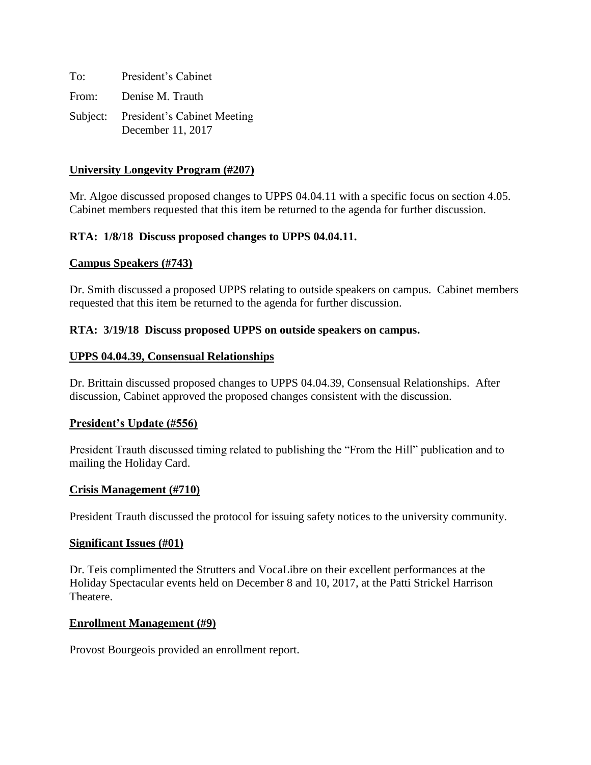| To: | President's Cabinet                                       |
|-----|-----------------------------------------------------------|
|     | From: Denise M. Trauth                                    |
|     | Subject: President's Cabinet Meeting<br>December 11, 2017 |

### **University Longevity Program (#207)**

Mr. Algoe discussed proposed changes to UPPS 04.04.11 with a specific focus on section 4.05. Cabinet members requested that this item be returned to the agenda for further discussion.

### **RTA: 1/8/18 Discuss proposed changes to UPPS 04.04.11.**

#### **Campus Speakers (#743)**

Dr. Smith discussed a proposed UPPS relating to outside speakers on campus. Cabinet members requested that this item be returned to the agenda for further discussion.

#### **RTA: 3/19/18 Discuss proposed UPPS on outside speakers on campus.**

#### **UPPS 04.04.39, Consensual Relationships**

Dr. Brittain discussed proposed changes to UPPS 04.04.39, Consensual Relationships. After discussion, Cabinet approved the proposed changes consistent with the discussion.

#### **President's Update (#556)**

President Trauth discussed timing related to publishing the "From the Hill" publication and to mailing the Holiday Card.

#### **Crisis Management (#710)**

President Trauth discussed the protocol for issuing safety notices to the university community.

#### **Significant Issues (#01)**

Dr. Teis complimented the Strutters and VocaLibre on their excellent performances at the Holiday Spectacular events held on December 8 and 10, 2017, at the Patti Strickel Harrison Theatere.

#### **Enrollment Management (#9)**

Provost Bourgeois provided an enrollment report.